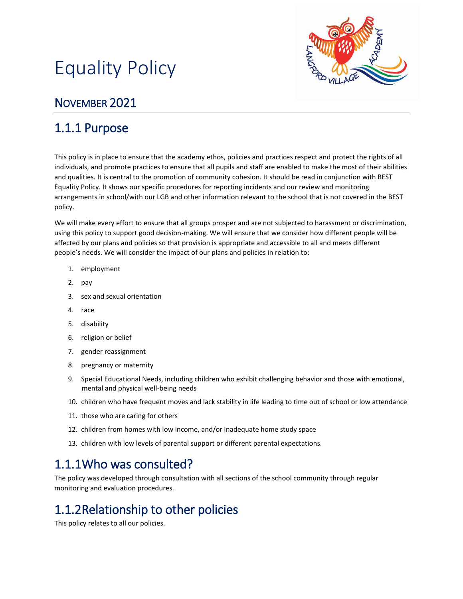# Equality Policy



## NOVEMBER 2021

## 1.1.1 Purpose

This policy is in place to ensure that the academy ethos, policies and practices respect and protect the rights of all individuals, and promote practices to ensure that all pupils and staff are enabled to make the most of their abilities and qualities. It is central to the promotion of community cohesion. It should be read in conjunction with BEST Equality Policy. It shows our specific procedures for reporting incidents and our review and monitoring arrangements in school/with our LGB and other information relevant to the school that is not covered in the BEST policy.

We will make every effort to ensure that all groups prosper and are not subjected to harassment or discrimination, using this policy to support good decision-making. We will ensure that we consider how different people will be affected by our plans and policies so that provision is appropriate and accessible to all and meets different people's needs. We will consider the impact of our plans and policies in relation to:

- 1. employment
- 2. pay
- 3. sex and sexual orientation
- 4. race
- 5. disability
- 6. religion or belief
- 7. gender reassignment
- 8. pregnancy or maternity
- 9. Special Educational Needs, including children who exhibit challenging behavior and those with emotional, mental and physical well-being needs
- 10. children who have frequent moves and lack stability in life leading to time out of school or low attendance
- 11. those who are caring for others
- 12. children from homes with low income, and/or inadequate home study space
- 13. children with low levels of parental support or different parental expectations.

#### 1.1.1Who was consulted?

The policy was developed through consultation with all sections of the school community through regular monitoring and evaluation procedures.

# 1.1.2Relationship to other policies

This policy relates to all our policies.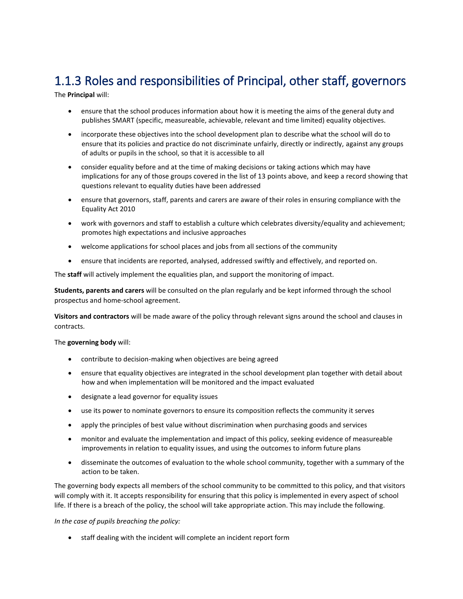# 1.1.3 Roles and responsibilities of Principal, other staff, governors

The **Principal** will:

- ensure that the school produces information about how it is meeting the aims of the general duty and publishes SMART (specific, measureable, achievable, relevant and time limited) equality objectives.
- incorporate these objectives into the school development plan to describe what the school will do to ensure that its policies and practice do not discriminate unfairly, directly or indirectly, against any groups of adults or pupils in the school, so that it is accessible to all
- consider equality before and at the time of making decisions or taking actions which may have implications for any of those groups covered in the list of 13 points above, and keep a record showing that questions relevant to equality duties have been addressed
- ensure that governors, staff, parents and carers are aware of their roles in ensuring compliance with the Equality Act 2010
- work with governors and staff to establish a culture which celebrates diversity/equality and achievement; promotes high expectations and inclusive approaches
- welcome applications for school places and jobs from all sections of the community
- ensure that incidents are reported, analysed, addressed swiftly and effectively, and reported on.

The **staff** will actively implement the equalities plan, and support the monitoring of impact.

**Students, parents and carers** will be consulted on the plan regularly and be kept informed through the school prospectus and home-school agreement.

**Visitors and contractors** will be made aware of the policy through relevant signs around the school and clauses in contracts.

The **governing body** will:

- contribute to decision-making when objectives are being agreed
- ensure that equality objectives are integrated in the school development plan together with detail about how and when implementation will be monitored and the impact evaluated
- designate a lead governor for equality issues
- use its power to nominate governors to ensure its composition reflects the community it serves
- apply the principles of best value without discrimination when purchasing goods and services
- monitor and evaluate the implementation and impact of this policy, seeking evidence of measureable improvements in relation to equality issues, and using the outcomes to inform future plans
- disseminate the outcomes of evaluation to the whole school community, together with a summary of the action to be taken.

The governing body expects all members of the school community to be committed to this policy, and that visitors will comply with it. It accepts responsibility for ensuring that this policy is implemented in every aspect of school life. If there is a breach of the policy, the school will take appropriate action. This may include the following.

#### *In the case of pupils breaching the policy:*

• staff dealing with the incident will complete an incident report form